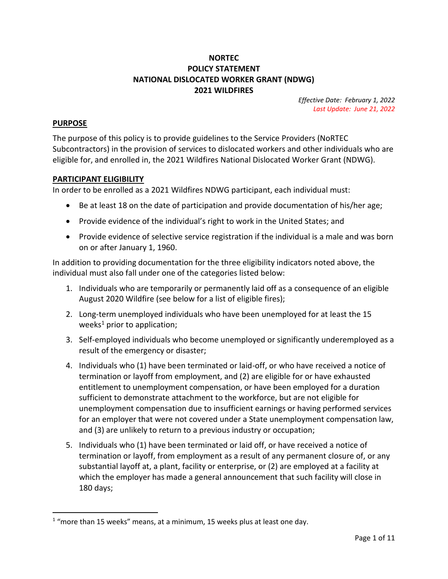## **NORTEC POLICY STATEMENT NATIONAL DISLOCATED WORKER GRANT (NDWG) 2021 WILDFIRES**

*Effective Date: February 1, 2022 Last Update: June 21, 2022*

#### **PURPOSE**

 $\overline{\phantom{a}}$ 

The purpose of this policy is to provide guidelines to the Service Providers (NoRTEC Subcontractors) in the provision of services to dislocated workers and other individuals who are eligible for, and enrolled in, the 2021 Wildfires National Dislocated Worker Grant (NDWG).

#### **PARTICIPANT ELIGIBILITY**

In order to be enrolled as a 2021 Wildfires NDWG participant, each individual must:

- Be at least 18 on the date of participation and provide documentation of his/her age;
- Provide evidence of the individual's right to work in the United States; and
- Provide evidence of selective service registration if the individual is a male and was born on or after January 1, 1960.

In addition to providing documentation for the three eligibility indicators noted above, the individual must also fall under one of the categories listed below:

- 1. Individuals who are temporarily or permanently laid off as a consequence of an eligible August 2020 Wildfire (see below for a list of eligible fires);
- 2. Long-term unemployed individuals who have been unemployed for at least the 15 weeks<sup>1</sup> prior to application;
- 3. Self-employed individuals who become unemployed or significantly underemployed as a result of the emergency or disaster;
- 4. Individuals who (1) have been terminated or laid-off, or who have received a notice of termination or layoff from employment, and (2) are eligible for or have exhausted entitlement to unemployment compensation, or have been employed for a duration sufficient to demonstrate attachment to the workforce, but are not eligible for unemployment compensation due to insufficient earnings or having performed services for an employer that were not covered under a State unemployment compensation law, and (3) are unlikely to return to a previous industry or occupation;
- 5. Individuals who (1) have been terminated or laid off, or have received a notice of termination or layoff, from employment as a result of any permanent closure of, or any substantial layoff at, a plant, facility or enterprise, or (2) are employed at a facility at which the employer has made a general announcement that such facility will close in 180 days;

 $1$  "more than 15 weeks" means, at a minimum, 15 weeks plus at least one day.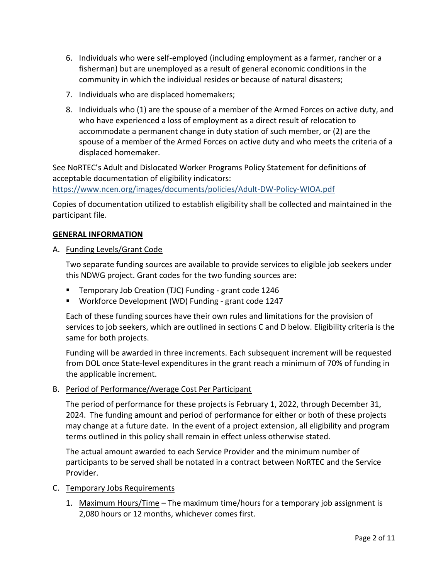- 6. Individuals who were self-employed (including employment as a farmer, rancher or a fisherman) but are unemployed as a result of general economic conditions in the community in which the individual resides or because of natural disasters;
- 7. Individuals who are displaced homemakers;
- 8. Individuals who (1) are the spouse of a member of the Armed Forces on active duty, and who have experienced a loss of employment as a direct result of relocation to accommodate a permanent change in duty station of such member, or (2) are the spouse of a member of the Armed Forces on active duty and who meets the criteria of a displaced homemaker.

See NoRTEC's Adult and Dislocated Worker Programs Policy Statement for definitions of acceptable documentation of eligibility indicators:

<https://www.ncen.org/images/documents/policies/Adult-DW-Policy-WIOA.pdf>

Copies of documentation utilized to establish eligibility shall be collected and maintained in the participant file.

#### **GENERAL INFORMATION**

A. Funding Levels/Grant Code

Two separate funding sources are available to provide services to eligible job seekers under this NDWG project. Grant codes for the two funding sources are:

- **Temporary Job Creation (TJC) Funding grant code 1246**
- Workforce Development (WD) Funding grant code 1247

Each of these funding sources have their own rules and limitations for the provision of services to job seekers, which are outlined in sections C and D below. Eligibility criteria is the same for both projects.

Funding will be awarded in three increments. Each subsequent increment will be requested from DOL once State-level expenditures in the grant reach a minimum of 70% of funding in the applicable increment.

#### B. Period of Performance/Average Cost Per Participant

The period of performance for these projects is February 1, 2022, through December 31, 2024. The funding amount and period of performance for either or both of these projects may change at a future date. In the event of a project extension, all eligibility and program terms outlined in this policy shall remain in effect unless otherwise stated.

The actual amount awarded to each Service Provider and the minimum number of participants to be served shall be notated in a contract between NoRTEC and the Service Provider.

#### C. Temporary Jobs Requirements

1. Maximum Hours/Time – The maximum time/hours for a temporary job assignment is 2,080 hours or 12 months, whichever comes first.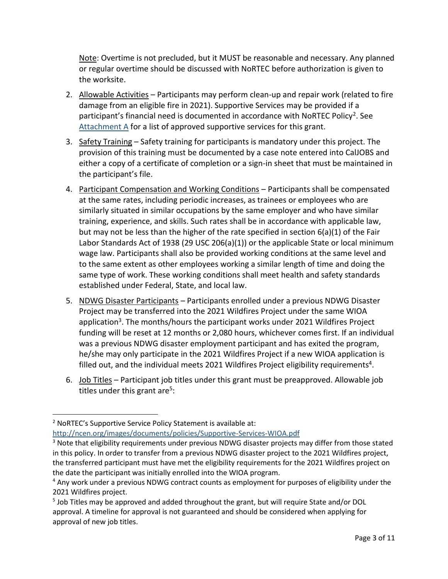Note: Overtime is not precluded, but it MUST be reasonable and necessary. Any planned or regular overtime should be discussed with NoRTEC before authorization is given to the worksite.

- 2. Allowable Activities Participants may perform clean-up and repair work (related to fire damage from an eligible fire in 2021). Supportive Services may be provided if a participant's financial need is documented in accordance with NoRTEC Policy<sup>2</sup>. See [Attachment A](#page-7-0) for a list of approved supportive services for this grant.
- 3. Safety Training Safety training for participants is mandatory under this project. The provision of this training must be documented by a case note entered into CalJOBS and either a copy of a certificate of completion or a sign-in sheet that must be maintained in the participant's file.
- 4. Participant Compensation and Working Conditions Participants shall be compensated at the same rates, including periodic increases, as trainees or employees who are similarly situated in similar occupations by the same employer and who have similar training, experience, and skills. Such rates shall be in accordance with applicable law, but may not be less than the higher of the rate specified in section 6(a)(1) of the Fair Labor Standards Act of 1938 (29 USC 206(a)(1)) or the applicable State or local minimum wage law. Participants shall also be provided working conditions at the same level and to the same extent as other employees working a similar length of time and doing the same type of work. These working conditions shall meet health and safety standards established under Federal, State, and local law.
- 5. NDWG Disaster Participants Participants enrolled under a previous NDWG Disaster Project may be transferred into the 2021 Wildfires Project under the same WIOA application<sup>3</sup>. The months/hours the participant works under 2021 Wildfires Project funding will be reset at 12 months or 2,080 hours, whichever comes first. If an individual was a previous NDWG disaster employment participant and has exited the program, he/she may only participate in the 2021 Wildfires Project if a new WIOA application is filled out, and the individual meets 2021 Wildfires Project eligibility requirements<sup>4</sup>.
- 6. Job Titles Participant job titles under this grant must be preapproved. Allowable job titles under this grant are<sup>5</sup>:

 $\overline{\phantom{a}}$ 

<sup>&</sup>lt;sup>2</sup> NoRTEC's Supportive Service Policy Statement is available at:

<http://ncen.org/images/documents/policies/Supportive-Services-WIOA.pdf>

<sup>&</sup>lt;sup>3</sup> Note that eligibility requirements under previous NDWG disaster projects may differ from those stated in this policy. In order to transfer from a previous NDWG disaster project to the 2021 Wildfires project, the transferred participant must have met the eligibility requirements for the 2021 Wildfires project on the date the participant was initially enrolled into the WIOA program.

<sup>&</sup>lt;sup>4</sup> Any work under a previous NDWG contract counts as employment for purposes of eligibility under the 2021 Wildfires project.

<sup>&</sup>lt;sup>5</sup> Job Titles may be approved and added throughout the grant, but will require State and/or DOL approval. A timeline for approval is not guaranteed and should be considered when applying for approval of new job titles.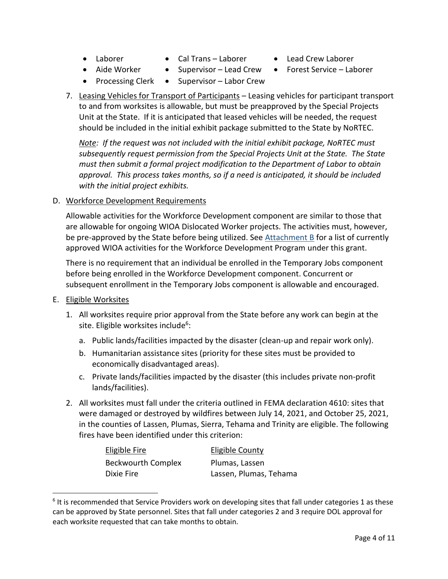- 
- Laborer Cal Trans Laborer Lead Crew Laborer
- 
- Aide Worker Supervisor Lead Crew Forest Service Laborer
- Processing Clerk Supervisor Labor Crew
- 7. Leasing Vehicles for Transport of Participants Leasing vehicles for participant transport to and from worksites is allowable, but must be preapproved by the Special Projects Unit at the State. If it is anticipated that leased vehicles will be needed, the request should be included in the initial exhibit package submitted to the State by NoRTEC.

*Note: If the request was not included with the initial exhibit package, NoRTEC must subsequently request permission from the Special Projects Unit at the State. The State must then submit a formal project modification to the Department of Labor to obtain approval. This process takes months, so if a need is anticipated, it should be included with the initial project exhibits.*

## D. Workforce Development Requirements

Allowable activities for the Workforce Development component are similar to those that are allowable for ongoing WIOA Dislocated Worker projects. The activities must, however, be pre-approved by the State before being utilized. See  $Attachment B$  for a list of currently approved WIOA activities for the Workforce Development Program under this grant.

There is no requirement that an individual be enrolled in the Temporary Jobs component before being enrolled in the Workforce Development component. Concurrent or subsequent enrollment in the Temporary Jobs component is allowable and encouraged.

E. Eligible Worksites

 $\overline{a}$ 

- 1. All worksites require prior approval from the State before any work can begin at the site. Eligible worksites include<sup>6</sup>:
	- a. Public lands/facilities impacted by the disaster (clean-up and repair work only).
	- b. Humanitarian assistance sites (priority for these sites must be provided to economically disadvantaged areas).
	- c. Private lands/facilities impacted by the disaster (this includes private non-profit lands/facilities).
- 2. All worksites must fall under the criteria outlined in FEMA declaration 4610: sites that were damaged or destroyed by wildfires between July 14, 2021, and October 25, 2021, in the counties of Lassen, Plumas, Sierra, Tehama and Trinity are eligible. The following fires have been identified under this criterion:

| Eligible Fire             | Eligible County        |
|---------------------------|------------------------|
| <b>Beckwourth Complex</b> | Plumas, Lassen         |
| Dixie Fire                | Lassen, Plumas, Tehama |

 $6$  It is recommended that Service Providers work on developing sites that fall under categories 1 as these can be approved by State personnel. Sites that fall under categories 2 and 3 require DOL approval for each worksite requested that can take months to obtain.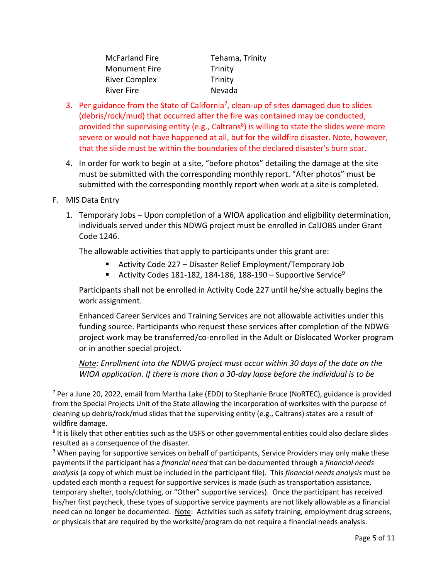| <b>McFarland Fire</b> | Tehama, Trinity |
|-----------------------|-----------------|
| <b>Monument Fire</b>  | Trinity         |
| <b>River Complex</b>  | Trinity         |
| River Fire            | Nevada          |

- 3. Per guidance from the State of California<sup>7</sup>, clean-up of sites damaged due to slides (debris/rock/mud) that occurred after the fire was contained may be conducted, provided the supervising entity (e.g., Caltrans<sup>8</sup>) is willing to state the slides were more severe or would not have happened at all, but for the wildfire disaster. Note, however, that the slide must be within the boundaries of the declared disaster's burn scar.
- 4. In order for work to begin at a site, "before photos" detailing the damage at the site must be submitted with the corresponding monthly report. "After photos" must be submitted with the corresponding monthly report when work at a site is completed.

## F. MIS Data Entry

1. Temporary Jobs – Upon completion of a WIOA application and eligibility determination, individuals served under this NDWG project must be enrolled in CalJOBS under Grant Code 1246.

The allowable activities that apply to participants under this grant are:

- Activity Code 227 Disaster Relief Employment/Temporary Job
- Activity Codes 181-182, 184-186, 188-190 Supportive Service<sup>9</sup>

Participants shall not be enrolled in Activity Code 227 until he/she actually begins the work assignment.

Enhanced Career Services and Training Services are not allowable activities under this funding source. Participants who request these services after completion of the NDWG project work may be transferred/co-enrolled in the Adult or Dislocated Worker program or in another special project.

*Note: Enrollment into the NDWG project must occur within 30 days of the date on the WIOA application. If there is more than a 30-day lapse before the individual is to be* 

 $\overline{a}$ <sup>7</sup> Per a June 20, 2022, email from Martha Lake (EDD) to Stephanie Bruce (NoRTEC), guidance is provided from the Special Projects Unit of the State allowing the incorporation of worksites with the purpose of cleaning up debris/rock/mud slides that the supervising entity (e.g., Caltrans) states are a result of wildfire damage.

 $^8$  It is likely that other entities such as the USFS or other governmental entities could also declare slides resulted as a consequence of the disaster.

<sup>&</sup>lt;sup>9</sup> When paying for supportive services on behalf of participants, Service Providers may only make these payments if the participant has a *financial need* that can be documented through a *financial needs analysis* (a copy of which must be included in the participant file)*.* This *financial needs analysis* must be updated each month a request for supportive services is made (such as transportation assistance, temporary shelter, tools/clothing, or "Other" supportive services). Once the participant has received his/her first paycheck, these types of supportive service payments are not likely allowable as a financial need can no longer be documented. Note: Activities such as safety training, employment drug screens, or physicals that are required by the worksite/program do not require a financial needs analysis.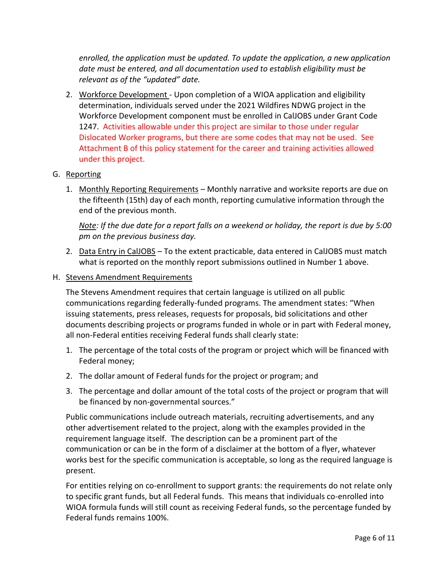*enrolled, the application must be updated. To update the application, a new application date must be entered, and all documentation used to establish eligibility must be relevant as of the "updated" date.*

2. Workforce Development - Upon completion of a WIOA application and eligibility determination, individuals served under the 2021 Wildfires NDWG project in the Workforce Development component must be enrolled in CalJOBS under Grant Code 1247. Activities allowable under this project are similar to those under regular Dislocated Worker programs, but there are some codes that may not be used. See Attachment B of this policy statement for the career and training activities allowed under this project.

### G. Reporting

1. Monthly Reporting Requirements – Monthly narrative and worksite reports are due on the fifteenth (15th) day of each month, reporting cumulative information through the end of the previous month.

*Note: If the due date for a report falls on a weekend or holiday, the report is due by 5:00 pm on the previous business day.*

2. Data Entry in CalJOBS – To the extent practicable, data entered in CalJOBS must match what is reported on the monthly report submissions outlined in Number 1 above.

#### H. Stevens Amendment Requirements

The Stevens Amendment requires that certain language is utilized on all public communications regarding federally-funded programs. The amendment states: "When issuing statements, press releases, requests for proposals, bid solicitations and other documents describing projects or programs funded in whole or in part with Federal money, all non-Federal entities receiving Federal funds shall clearly state:

- 1. The percentage of the total costs of the program or project which will be financed with Federal money;
- 2. The dollar amount of Federal funds for the project or program; and
- 3. The percentage and dollar amount of the total costs of the project or program that will be financed by non-governmental sources."

Public communications include outreach materials, recruiting advertisements, and any other advertisement related to the project, along with the examples provided in the requirement language itself. The description can be a prominent part of the communication or can be in the form of a disclaimer at the bottom of a flyer, whatever works best for the specific communication is acceptable, so long as the required language is present.

For entities relying on co-enrollment to support grants: the requirements do not relate only to specific grant funds, but all Federal funds. This means that individuals co-enrolled into WIOA formula funds will still count as receiving Federal funds, so the percentage funded by Federal funds remains 100%.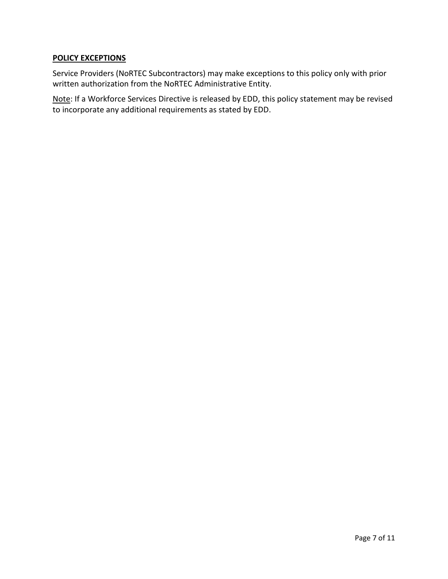### **POLICY EXCEPTIONS**

Service Providers (NoRTEC Subcontractors) may make exceptions to this policy only with prior written authorization from the NoRTEC Administrative Entity.

Note: If a Workforce Services Directive is released by EDD, this policy statement may be revised to incorporate any additional requirements as stated by EDD.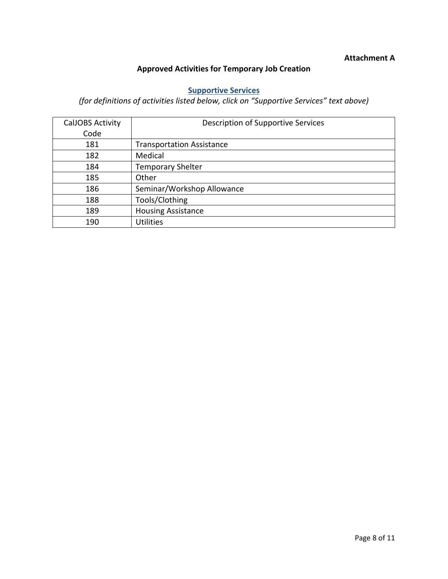### **Attachment A**

## **Approved Activities for Temporary Job Creation**

## **[Supportive Services](https://edd.ca.gov/Jobs_and_Training/pubs/wsd19-06att1.pdf)**

# <span id="page-7-0"></span>*(for definitions of activities listed below, click on "Supportive Services" text above)*

<span id="page-7-1"></span>

| <b>CalJOBS Activity</b> | Description of Supportive Services |
|-------------------------|------------------------------------|
| Code                    |                                    |
| 181                     | <b>Transportation Assistance</b>   |
| 182                     | Medical                            |
| 184                     | <b>Temporary Shelter</b>           |
| 185                     | Other                              |
| 186                     | Seminar/Workshop Allowance         |
| 188                     | Tools/Clothing                     |
| 189                     | <b>Housing Assistance</b>          |
| 190                     | <b>Utilities</b>                   |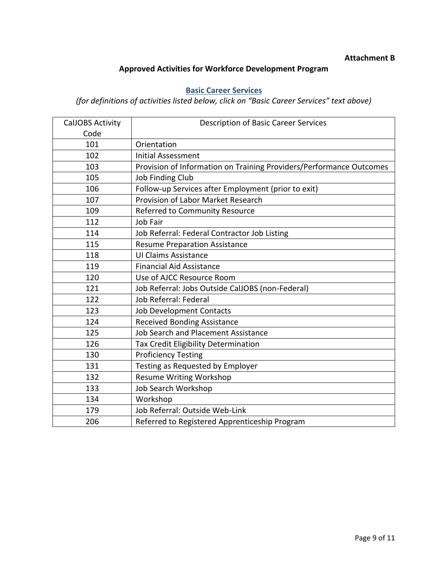### **Attachment B**

## **Approved Activities for Workforce Development Program**

# **[Basic Career Services](https://edd.ca.gov/Jobs_and_Training/pubs/wsd19-06att1.pdf)**

*(for definitions of activities listed below, click on "Basic Career Services" text above)*

| <b>CalJOBS Activity</b> | <b>Description of Basic Career Services</b>                         |
|-------------------------|---------------------------------------------------------------------|
| Code                    |                                                                     |
| 101                     | Orientation                                                         |
| 102                     | <b>Initial Assessment</b>                                           |
| 103                     | Provision of Information on Training Providers/Performance Outcomes |
| 105                     | <b>Job Finding Club</b>                                             |
| 106                     | Follow-up Services after Employment (prior to exit)                 |
| 107                     | Provision of Labor Market Research                                  |
| 109                     | Referred to Community Resource                                      |
| 112                     | Job Fair                                                            |
| 114                     | Job Referral: Federal Contractor Job Listing                        |
| 115                     | <b>Resume Preparation Assistance</b>                                |
| 118                     | <b>UI Claims Assistance</b>                                         |
| 119                     | <b>Financial Aid Assistance</b>                                     |
| 120                     | Use of AJCC Resource Room                                           |
| 121                     | Job Referral: Jobs Outside CalJOBS (non-Federal)                    |
| 122                     | Job Referral: Federal                                               |
| 123                     | <b>Job Development Contacts</b>                                     |
| 124                     | <b>Received Bonding Assistance</b>                                  |
| 125                     | Job Search and Placement Assistance                                 |
| 126                     | Tax Credit Eligibility Determination                                |
| 130                     | <b>Proficiency Testing</b>                                          |
| 131                     | Testing as Requested by Employer                                    |
| 132                     | <b>Resume Writing Workshop</b>                                      |
| 133                     | Job Search Workshop                                                 |
| 134                     | Workshop                                                            |
| 179                     | Job Referral: Outside Web-Link                                      |
| 206                     | Referred to Registered Apprenticeship Program                       |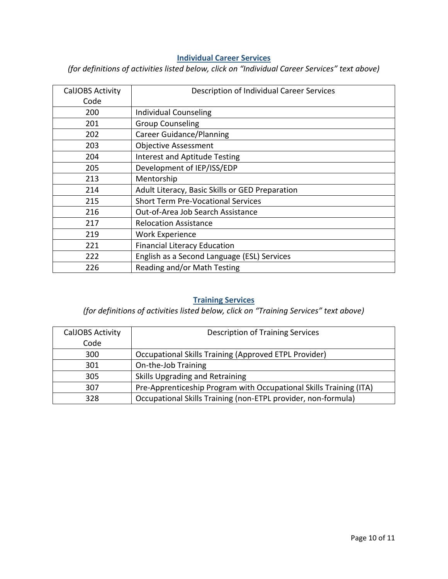## **[Individual Career Services](https://edd.ca.gov/Jobs_and_Training/pubs/wsd19-06att1.pdf)**

*(for definitions of activities listed below, click on "Individual Career Services" text above)*

| <b>CalJOBS Activity</b> | Description of Individual Career Services       |
|-------------------------|-------------------------------------------------|
| Code                    |                                                 |
| 200                     | Individual Counseling                           |
| 201                     | <b>Group Counseling</b>                         |
| 202                     | <b>Career Guidance/Planning</b>                 |
| 203                     | <b>Objective Assessment</b>                     |
| 204                     | <b>Interest and Aptitude Testing</b>            |
| 205                     | Development of IEP/ISS/EDP                      |
| 213                     | Mentorship                                      |
| 214                     | Adult Literacy, Basic Skills or GED Preparation |
| 215                     | <b>Short Term Pre-Vocational Services</b>       |
| 216                     | Out-of-Area Job Search Assistance               |
| 217                     | <b>Relocation Assistance</b>                    |
| 219                     | <b>Work Experience</b>                          |
| 221                     | <b>Financial Literacy Education</b>             |
| 222                     | English as a Second Language (ESL) Services     |
| 226                     | Reading and/or Math Testing                     |

## **[Training Services](https://edd.ca.gov/Jobs_and_Training/pubs/wsd19-06att1.pdf)**

## *(for definitions of activities listed below, click on "Training Services" text above)*

| <b>CalJOBS Activity</b> | <b>Description of Training Services</b>                            |
|-------------------------|--------------------------------------------------------------------|
| Code                    |                                                                    |
| 300                     | <b>Occupational Skills Training (Approved ETPL Provider)</b>       |
| 301                     | On-the-Job Training                                                |
| 305                     | Skills Upgrading and Retraining                                    |
| 307                     | Pre-Apprenticeship Program with Occupational Skills Training (ITA) |
| 328                     | Occupational Skills Training (non-ETPL provider, non-formula)      |